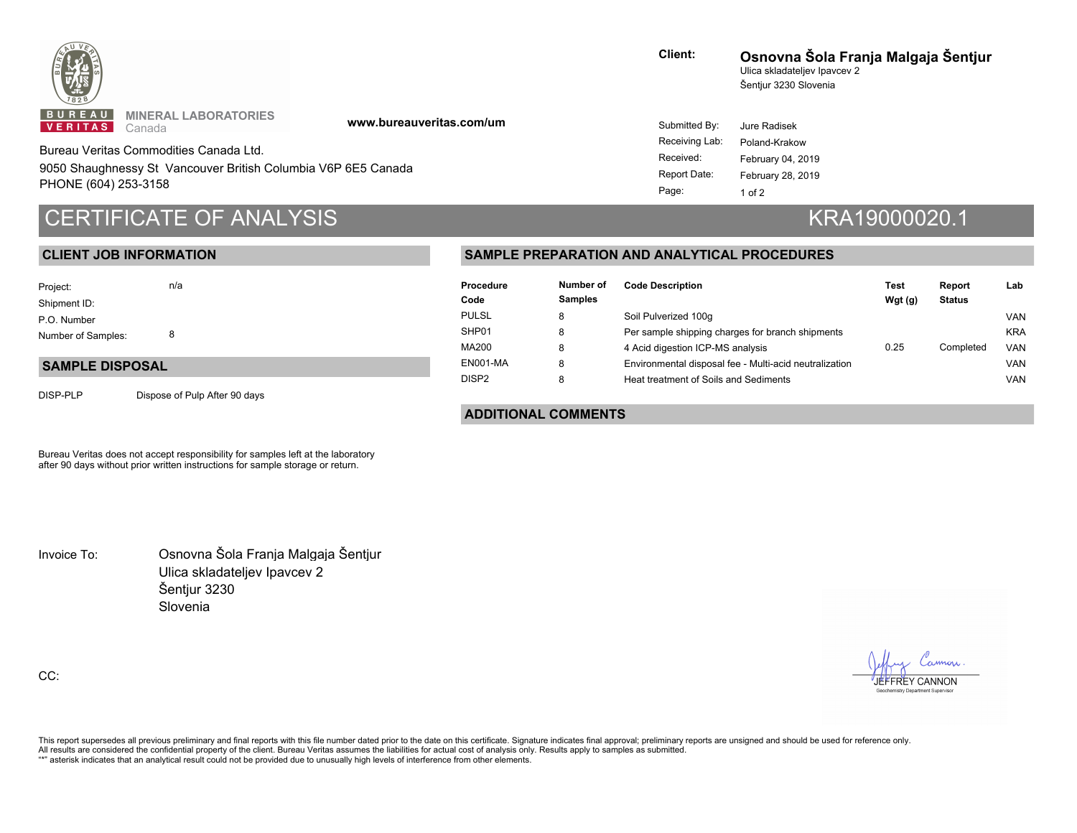

**MINERAL LABORATORIES** Canada

**www.bureauveritas.com/um**

9050 Shaughnessy St Vancouver British Columbia V6P 6E5 Canada PHONE (604) 253-3158 Bureau Veritas Commodities Canada Ltd.

# CERTIFICATE OF ANALYSIS **KRA19000020.1**

 **CLIENT JOB INFORMATION**

**Client:** Ulica skladateljev Ipavcev 2 Šentjur 3230 Slovenia **Osnovna Šola Franja Malgaja Šentjur**

 $19$ 

| Submitted By:  | Jure Radisek      |
|----------------|-------------------|
| Receiving Lab: | Poland-Krakow     |
| Received:      | February 04, 2019 |
| Report Date:   | February 28, 2019 |
| Page:          | 1 of 2            |

### 8 n/a Number of Samples: P.O. Number Shipment ID: Project:

#### **SAMPLE DISPOSAL**

DISP-PLP Dispose of Pulp After 90 days

#### **SAMPLE PREPARATION AND ANALYTICAL PROCEDURES**

| Procedure<br>Code | Number of<br><b>Samples</b> | <b>Code Description</b>                                | Test<br>Wgt(q) | Report<br><b>Status</b> | Lab        |
|-------------------|-----------------------------|--------------------------------------------------------|----------------|-------------------------|------------|
| <b>PULSL</b>      | 8                           | Soil Pulverized 100g                                   |                |                         | <b>VAN</b> |
| SHP01             | 8                           | Per sample shipping charges for branch shipments       |                |                         | <b>KRA</b> |
| MA200             | 8                           | 4 Acid digestion ICP-MS analysis                       | 0.25           | Completed               | <b>VAN</b> |
| <b>EN001-MA</b>   | 8                           | Environmental disposal fee - Multi-acid neutralization |                |                         | <b>VAN</b> |
| DISP <sub>2</sub> | 8                           | Heat treatment of Soils and Sediments                  |                |                         | <b>VAN</b> |

 **ADDITIONAL COMMENTS**

Bureau Veritas does not accept responsibility for samples left at the laboratory after 90 days without prior written instructions for sample storage or return.

Invoice To: Osnovna Šola Franja Malgaja Šentjur Ulica skladateljev Ipavcev 2 Šentjur 3230 Slovenia

CC:

JEFFREY CANNON

chemistry Department Supe

This report supersedes all previous preliminary and final reports with this file number dated prior to the date on this certificate. Signature indicates final approval; preliminary reports are unsigned and should be used f All results are considered the confidential property of the client. Bureau Veritas assumes the liabilities for actual cost of analysis only. Results apply to samples as submitted.

"\*" asterisk indicates that an analytical result could not be provided due to unusually high levels of interference from other elements.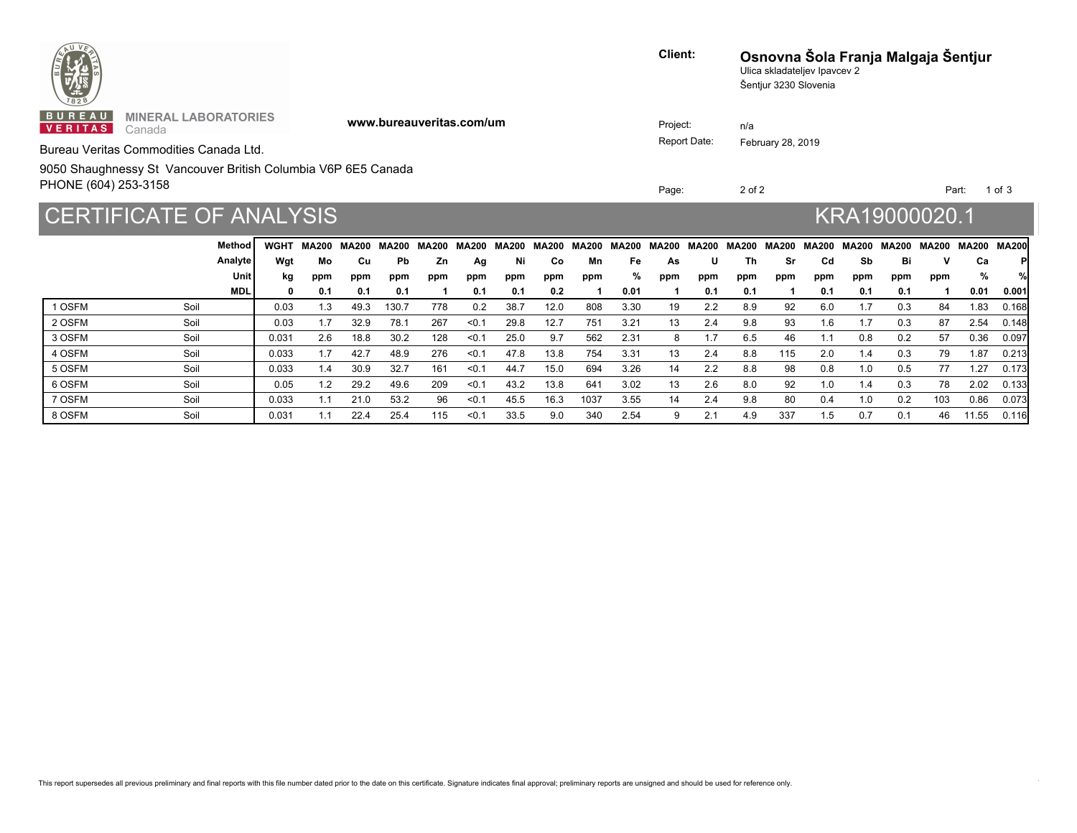| $\begin{picture}(130,10) \put(0,0){\line(1,0){15}} \put(15,0){\line(1,0){15}} \put(15,0){\line(1,0){15}} \put(15,0){\line(1,0){15}} \put(15,0){\line(1,0){15}} \put(15,0){\line(1,0){15}} \put(15,0){\line(1,0){15}} \put(15,0){\line(1,0){15}} \put(15,0){\line(1,0){15}} \put(15,0){\line(1,0){15}} \put(15,0){\line(1,0){15}} \put(15,0){\line($ | Client:      | Ulica skladateljev Ipavcev 2<br>Šentjur 3230 Slovenia | Osnovna Šola Franja Malgaja Šentjur |  |
|-----------------------------------------------------------------------------------------------------------------------------------------------------------------------------------------------------------------------------------------------------------------------------------------------------------------------------------------------------|--------------|-------------------------------------------------------|-------------------------------------|--|
| <b>BUREAU MINERAL LABORATORIES</b><br>www.bureauveritas.com/um<br><b>VERITAS</b> Canada                                                                                                                                                                                                                                                             | Project:     | n/a                                                   |                                     |  |
| Bureau Veritas Commodities Canada Ltd.                                                                                                                                                                                                                                                                                                              | Report Date: | February 28, 2019                                     |                                     |  |
| 9050 Shaughnessy St Vancouver British Columbia V6P 6E5 Canada<br>PHONE (604) 253-3158                                                                                                                                                                                                                                                               | Page:        | 2 of 2                                                | Part: 1 of 3                        |  |
| CERTIFICATE OF ANALYSIS                                                                                                                                                                                                                                                                                                                             |              |                                                       | KRA19000020.1                       |  |

|        |      | Method I   | <b>WGHT</b> | MA200 MA200 |      | MA200 |     |       | MA200 MA200 MA200 MA200 |      |      |      |     | MA200 MA200 MA200 MA200 | MA200 MA200 |     | MA200 MA200 MA200 MA200 MA200 |                 |     |     |       | MA200I |
|--------|------|------------|-------------|-------------|------|-------|-----|-------|-------------------------|------|------|------|-----|-------------------------|-------------|-----|-------------------------------|-----------------|-----|-----|-------|--------|
|        |      | Analyte    | Wgt         | Mo          | Cu   | Pb.   | Zn. | Ag    | Ni                      | Co   | Mn   | Fe   | As  | U                       | Th          | Sr  | Cd                            | Sb              | Bi  |     | Cа    |        |
|        |      | Unit       | kg          | ppm         | ppm  | ppm   | ppm | ppm   | ppm                     | ppm  | ppm  | ℅    | ppm | ppm                     | ppm         | ppm | ppm                           | ppm             | ppm | ppm | %     |        |
|        |      | <b>MDL</b> |             | 0.1         | 0.1  | 0.1   |     | 0.1   | 0.1                     | 0.2  |      | 0.01 |     | 0.1                     | 0.1         |     | 0.1                           | 0.1             | 0.1 |     | 0.01  | 0.001  |
| I OSFM | Soil |            | 0.03        | 1.3         | 49.3 | 130.7 | 778 | 0.2   | 38.7                    | 12.0 | 808  | 3.30 | 19  | 2.2                     | 8.9         | 92  | 6.0                           | l.7             | 0.3 | 84  | 1.83  | 0.168  |
| 2 OSFM | Soil |            | 0.03        | 1.7         | 32.9 | 78.1  | 267 | < 0.1 | 29.8                    | 12.7 | 751  | 3.21 | 13  | 2.4                     | 9.8         | 93  | 1.6                           | ۱.7             | 0.3 | 87  | 2.54  | 0.148  |
| 3 OSFM | Soil |            | 0.031       | 2.6         | 18.8 | 30.2  | 128 | < 0.1 | 25.0                    | 9.7  | 562  | 2.31 | 8   | 1.7                     | 6.5         | 46  |                               | 0.8             | 0.2 | 57  | 0.36  | 0.097  |
| 4 OSFM | Soil |            | 0.033       | 1.7         | 42.7 | 48.9  | 276 | < 0.1 | 47.8                    | 13.8 | 754  | 3.31 | 13  | 2.4                     | 8.8         | 115 | 2.0                           | $\mathsf{I}$ .4 | 0.3 | 79  | 1.87  | 0.213  |
| 5 OSFM | Soil |            | 0.033       | 1.4         | 30.9 | 32.7  | 161 | < 0.1 | 44.7                    | 15.0 | 694  | 3.26 | 14  | 2.2                     | 8.8         | 98  | 0.8                           | 0. ا            | 0.5 | 77  | 1.27  | 0.173  |
| 6 OSFM | Soil |            | 0.05        | 1.2         | 29.2 | 49.6  | 209 | < 0.1 | 43.2                    | 13.8 | 641  | 3.02 | 13  | 2.6                     | 8.0         | 92  | 1.0                           | ، 4             | 0.3 | 78  | 2.02  | 0.133  |
| 7 OSFM | Soil |            | 0.033       |             | 21.0 | 53.2  | 96  | < 0.1 | 45.5                    | 16.3 | 1037 | 3.55 | 14  | 2.4                     | 9.8         | 80  | 0.4                           | 0. ا            | 0.2 | 103 | 0.86  | 0.073  |
| 8 OSFM | Soil |            | 0.031       | 1.1         | 22.4 | 25.4  | 115 | < 0.1 | 33.5                    | 9.0  | 340  | 2.54 | 9   | 2.1                     | 4.9         | 337 | 1.5                           | 0.7             | 0.1 | 46  | 11.55 | 0.116  |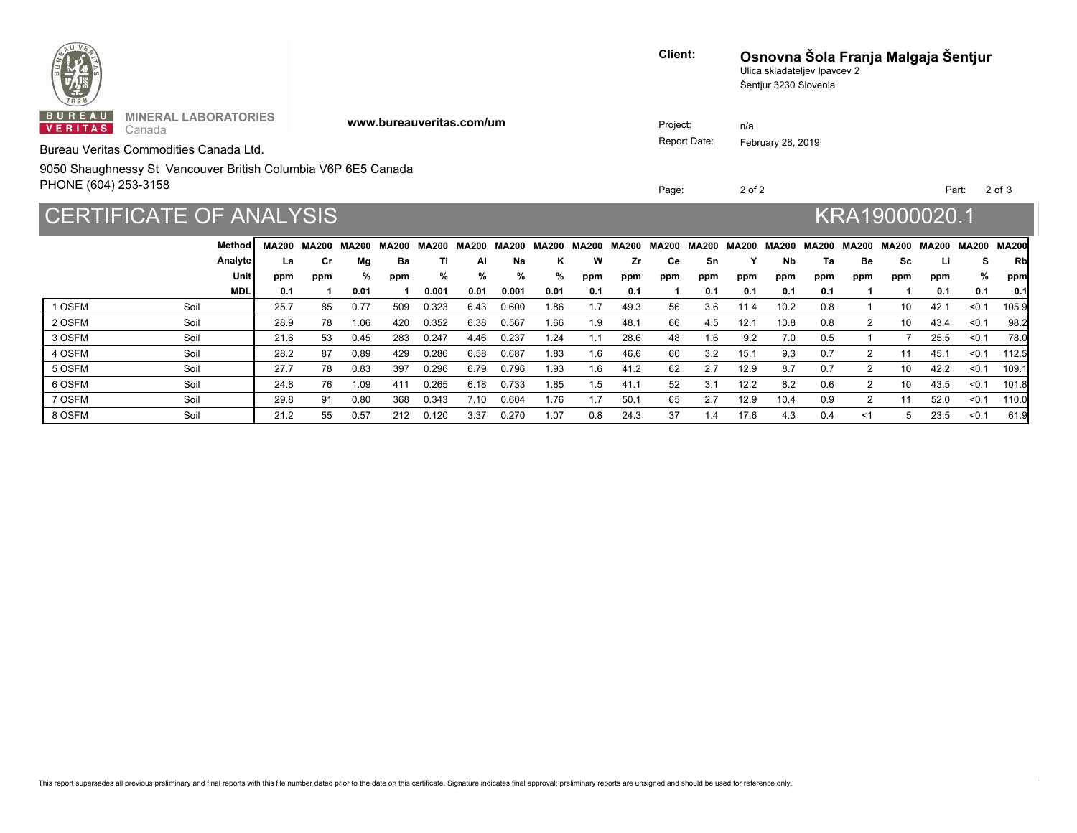| <b>ENTREPRISE</b>                                                                     |                          | Client:      | Ulica skladateljev Ipavcev 2<br>Šentjur 3230 Slovenia | Osnovna Šola Franja Malgaja Šentjur |  |  |
|---------------------------------------------------------------------------------------|--------------------------|--------------|-------------------------------------------------------|-------------------------------------|--|--|
| <b>BUREAU MINERAL LABORATORIES</b><br><b>VERITAS</b> Canada                           | www.bureauveritas.com/um | Project:     | n/a                                                   |                                     |  |  |
| Bureau Veritas Commodities Canada Ltd.                                                |                          | Report Date: | February 28, 2019                                     |                                     |  |  |
| 9050 Shaughnessy St Vancouver British Columbia V6P 6E5 Canada<br>PHONE (604) 253-3158 |                          | Page:        | 2 of 2                                                | Part: 2 of 3                        |  |  |
| CERTIFICATE OF ANALYSIS                                                               |                          |              |                                                       | KRA19000020.1                       |  |  |

|                | Method     |      | <b>MA200 MA200</b> | <b>MA200</b> | <b>MA200</b> | MA200 MA200 |      |       | MA200 MA200 | MA200 MA200 MA200 |      |     | MA200 | MA200 | MA200 | MA200 MA200 |                      | MA200 | MA200 | MA200 | MA200l |
|----------------|------------|------|--------------------|--------------|--------------|-------------|------|-------|-------------|-------------------|------|-----|-------|-------|-------|-------------|----------------------|-------|-------|-------|--------|
|                | Analyte    | La   | Сr                 | Mg           | Ba           | Ti          | ΑI   | Na    | κ           | w                 | Zr   | Сe  | Sn    |       | Nb    | Та          | Be                   | Sc    |       |       | Rbl    |
|                | Unit       | ppm  | ppm                | ℅            | ppm          | ℅           | %    | ℅     | %           | ppm               | ppm  | ppm | ppm   | ppm   | ppm   | ppm         | ppm                  | ppm   | ppm   | %     | ppm    |
|                | <b>MDL</b> | 0.1  |                    | 0.01         |              | 0.001       | 0.01 | 0.001 | 0.01        | 0.1               | 0.1  |     | 0.1   | 0.1   | 0.1   | 0.1         |                      |       | 0.1   | 0.1   | 0.11   |
| 1 OSFM<br>Soil |            | 25.7 | 85                 | 0.77         | 509          | 0.323       | 6.43 | 0.600 | 1.86        | 1.7               | 49.3 | 56  | 3.6   | 11.4  | 10.2  | 0.8         |                      | 10    | 42.1  | < 0.1 | 105.9  |
| 2 OSFM<br>Soil |            | 28.9 | 78                 | 1.06         | 420          | 0.352       | 6.38 | 0.567 | 1.66        | 1.9               | 48.1 | 66  | 4.5   | 12.1  | 10.8  | 0.8         | 2                    | 10    | 43.4  | < 0.1 | 98.2   |
| 3 OSFM<br>Soil |            | 21.6 | 53                 | 0.45         | 283          | 0.247       | 4.46 | 0.237 | 1.24        | 1.1               | 28.6 | 48  | 1.6   | 9.2   | 7.0   | 0.5         |                      |       | 25.5  | < 0.1 | 78.0   |
| 4 OSFM<br>Soil |            | 28.2 | 87                 | 0.89         | 429          | 0.286       | 6.58 | 0.687 | 1.83        | 1.6               | 46.6 | 60  | 3.2   | 15.1  | 9.3   | 0.7         | $\overline{2}$       | 11    | 45.1  | < 0.1 | 112.5  |
| 5 OSFM<br>Soil |            | 27.7 | 78                 | 0.83         | 397          | 0.296       | 6.79 | 0.796 | 1.93        | 1.6               | 41.2 | 62  | 2.7   | 12.9  | 8.7   | 0.7         |                      | 10    | 42.2  | < 0.1 | 109.1  |
| 6 OSFM<br>Soil |            | 24.8 | 76                 | 1.09         | 411          | 0.265       | 6.18 | 0.733 | 1.85        | 1.5               | 41.1 | 52  | 3.1   | 12.2  | 8.2   | 0.6         | 2                    | 10    | 43.5  | < 0.1 | 101.8  |
| 7 OSFM<br>Soil |            | 29.8 | 91                 | 0.80         | 368          | 0.343       | 7.10 | 0.604 | 1.76        | 1.7               | 50.1 | 65  | 2.7   | 12.9  | 10.4  | 0.9         | $\mathbf{2}^{\circ}$ |       | 52.0  | < 0.1 | 110.0  |
| 8 OSFM<br>Soil |            | 21.2 | 55                 | 0.57         | 212          | 0.120       | 3.37 | 0.270 | 1.07        | 0.8               | 24.3 | 37  | 1.4   | 17.6  | 4.3   | 0.4         | $<$ 1                |       | 23.5  | < 0.1 | 61.9   |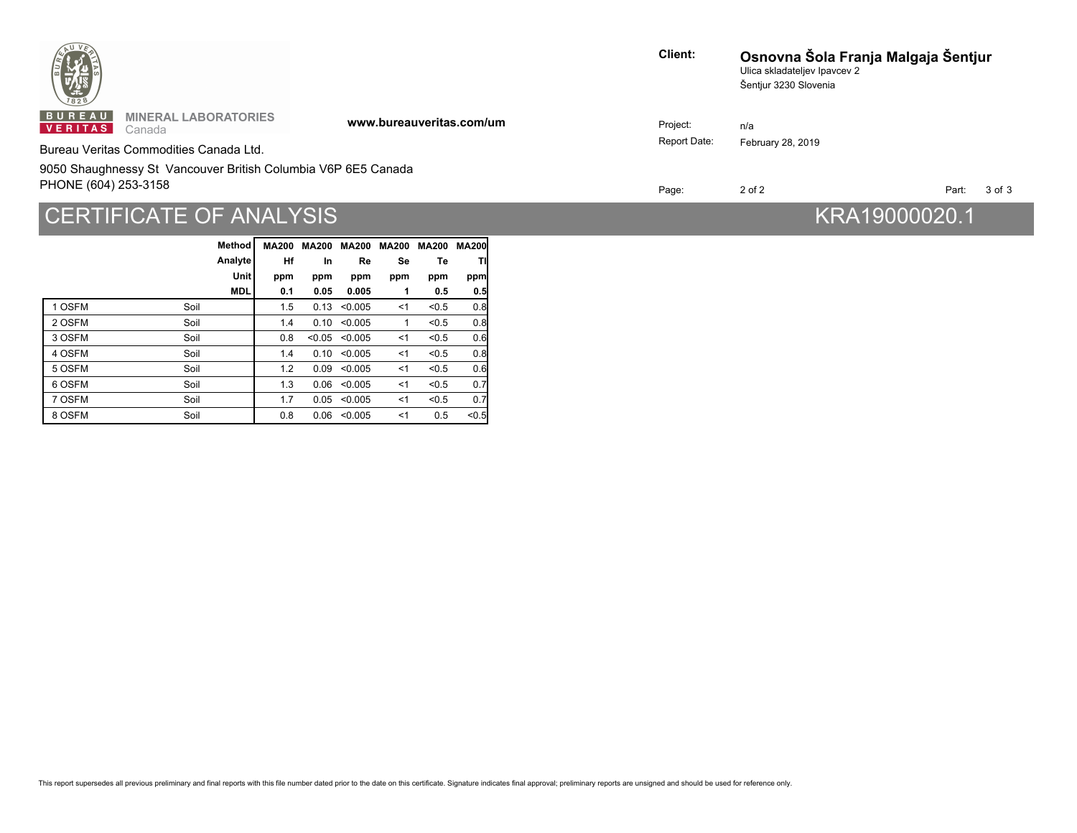| $\frac{1}{1628}$         |                                                               |                          | <b>Client:</b> | Osnovna Šola Franja Malgaja Šentjur<br>Ulica skladateljev Ipavcev 2<br>Šentjur 3230 Slovenia |       |        |  |  |
|--------------------------|---------------------------------------------------------------|--------------------------|----------------|----------------------------------------------------------------------------------------------|-------|--------|--|--|
| BUREAU<br><b>VERITAS</b> | <b>MINERAL LABORATORIES</b><br>Canada                         | www.bureauveritas.com/um | Project:       | n/a                                                                                          |       |        |  |  |
|                          | Bureau Veritas Commodities Canada Ltd.                        |                          | Report Date:   | February 28, 2019                                                                            |       |        |  |  |
|                          | 9050 Shaughnessy St Vancouver British Columbia V6P 6E5 Canada |                          |                |                                                                                              |       |        |  |  |
| PHONE (604) 253-3158     |                                                               |                          | Page:          | 2 of 2                                                                                       | Part: | 3 of 3 |  |  |
|                          |                                                               |                          |                |                                                                                              |       |        |  |  |

## THE CONSTRUCTED AN INTERNATION CONTROLLER IN THE CONSTRUCTION OF AN INTERNATIONAL CONTROLLER IN THE CONSTRUCTION OF A SAFETY AND THE CONTROLLER INTERNATIONAL CONTROLLER INTERNATIONAL CONTROLLER INTERNATIONAL CONTROLLER IN

|        |      | Method     | <b>MA200</b> | <b>MA200</b> |                  | <b>MA200 MA200</b> | <b>MA200</b> | <b>MA200</b> |
|--------|------|------------|--------------|--------------|------------------|--------------------|--------------|--------------|
|        |      | Analyte    | Hf           | In           | Re               | Se                 | Тe           | Τl           |
|        |      | Unit       | ppm          | ppm          | ppm              | ppm                | ppm          | ppm          |
|        |      | <b>MDL</b> | 0.1          | 0.05         | 0.005            | 1                  | 0.5          | 0.5          |
| 1 OSFM | Soil |            | 1.5          | 0.13         | < 0.005          | $<$ 1              | < 0.5        | 0.8          |
| 2 OSFM | Soil |            | 1.4          | 0.10         | < 0.005          | 1                  | < 0.5        | 0.8          |
| 3 OSFM | Soil |            | 0.8          | < 0.05       | < 0.005          | < 1                | < 0.5        | 0.6          |
| 4 OSFM | Soil |            | 1.4          | 0.10         | < 0.005          | < 1                | < 0.5        | 0.8          |
| 5 OSFM | Soil |            | 1.2          | 0.09         | < 0.005          | $<$ 1              | < 0.5        | 0.6          |
| 6 OSFM | Soil |            | 1.3          | 0.06         | < 0.005          | $<$ 1              | < 0.5        | 0.7          |
| 7 OSFM | Soil |            | 1.7          |              | 0.05 < 0.005     | $<$ 1              | < 0.5        | 0.7          |
| 8 OSFM | Soil |            | 0.8          |              | $0.06$ < $0.005$ | ≺1                 | 0.5          | < 0.5        |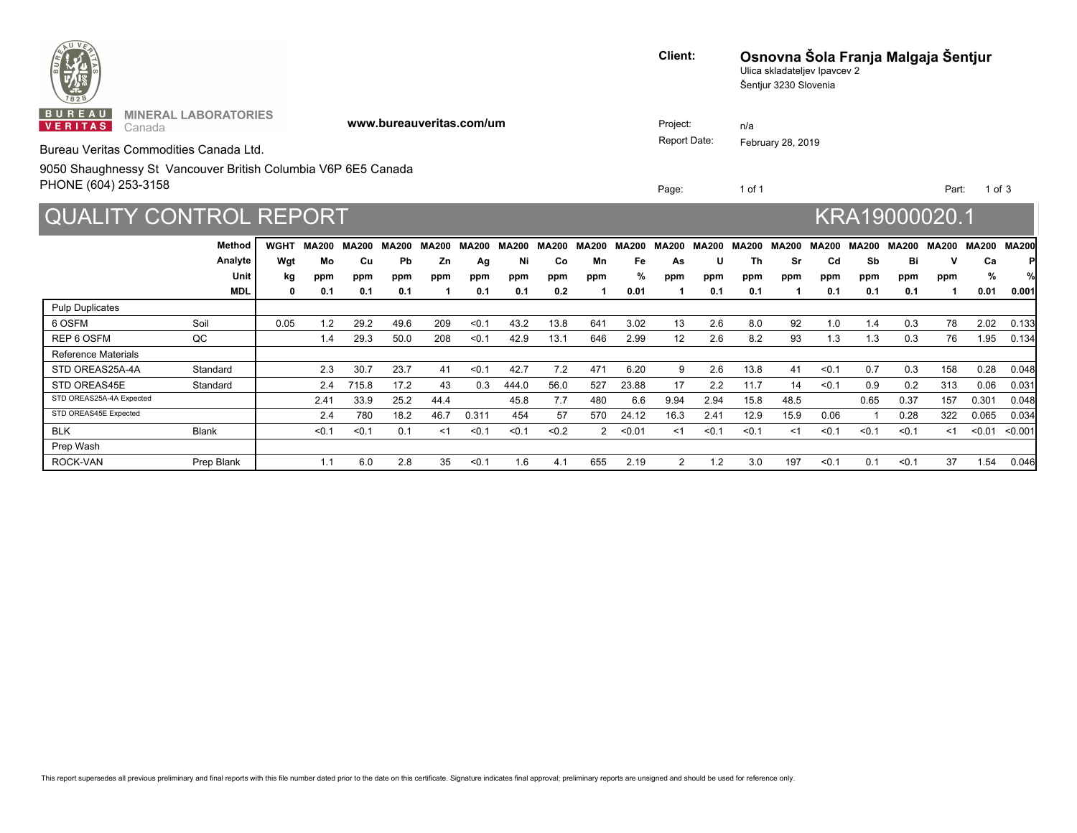| <b>PRINTED BY AN ASSESSMENT</b>                                                                                                                              | <b>Client:</b>           | Osnovna Šola Franja Malgaja Šentjur<br>Ulica skladateljev Ipavcev 2<br>Šentjur 3230 Slovenia                                            |  |
|--------------------------------------------------------------------------------------------------------------------------------------------------------------|--------------------------|-----------------------------------------------------------------------------------------------------------------------------------------|--|
| <b>BUREAU</b><br><b>MINERAL LABORATORIES</b><br>www.bureauveritas.com/um<br><b>VERITAS</b> Canada<br>Bureau Veritas Commodities Canada Ltd.                  | Project:<br>Report Date: | n/a<br>February 28, 2019                                                                                                                |  |
| 9050 Shaughnessy St Vancouver British Columbia V6P 6E5 Canada<br>PHONE (604) 253-3158                                                                        | Page:                    | 1 of 1<br>Part: 1 of 3                                                                                                                  |  |
| <b>QUALITY CONTROL REPORT</b>                                                                                                                                |                          | KRA19000020.1                                                                                                                           |  |
| Method<br>WGHT MA200 MA200 MA200 MA200 MA200 MA200 MA200 MA200 MA200<br>Analyte<br>Mo<br>Cu.<br>7n<br>Unit<br>ppm<br>ppm<br>ppm<br>ppm<br><b>MDL</b><br>0.01 | <b>MA200</b>             | MA200 MA200 MA200 MA200 MA200 MA200 MA200 MA200 MA200<br>Ca<br>Cd.<br>Ri<br>Sh<br>s,<br>ppm<br>ppm<br>ppm<br>ppm<br>$0.01$ 0.001<br>- 0 |  |

6 OSFM Soil 0.05 1.2 29.2 49.6 209 <0.1 43.2 13.8 641 3.02 13 2.6 8.0 92 1.0 1.4 0.3 78 2.02 0.133 REP 6 OSFM QC 1.4 29.3 50.0 208 <0.1 42.9 13.1 646 2.99 12 2.6 8.2 93 1.3 1.3 0.3 76 1.95 0.134

STD OREAS25A-4A Standard 2.3 30.7 23.7 41 <0.1 42.7 7.2 471 6.20 9 2.6 13.8 41 <0.1 0.7 0.3 158 0.28 0.048 STD OREAS45E Standard 2.4 715.8 17.2 43 0.3 444.0 56.0 527 23.88 17 2.2 11.7 14 <0.1 0.9 0.2 313 0.06 0.031 STD OREAS25A-4A Expected 2.41 33.9 25.2 44.4 45.8 7.7 480 6.6 9.94 2.94 15.8 48.5 0.65 0.37 157 0.301 0.048 STD OREAS45E Expected 2.4 780 18.2 46.7 0.311 454 57 570 24.12 16.3 2.41 12.9 15.9 0.06 1 0.28 322 0.065 0.034 BLK Blank <0.1 <0.1 0.1 <1 <0.1 <0.1 <0.2 2 <0.01 <1 <0.1 <0.1 <1 <0.1 <0.1 <0.1 <1 <0.01 <0.001

ROCK-VAN Prep Blank 1.1 6.0 2.8 35 <0.1 1.6 4.1 655 2.19 2 1.2 3.0 197 <0.1 0.1 <0.1 37 1.54 0.046

Pulp Duplicates

Prep Wash

Reference Materials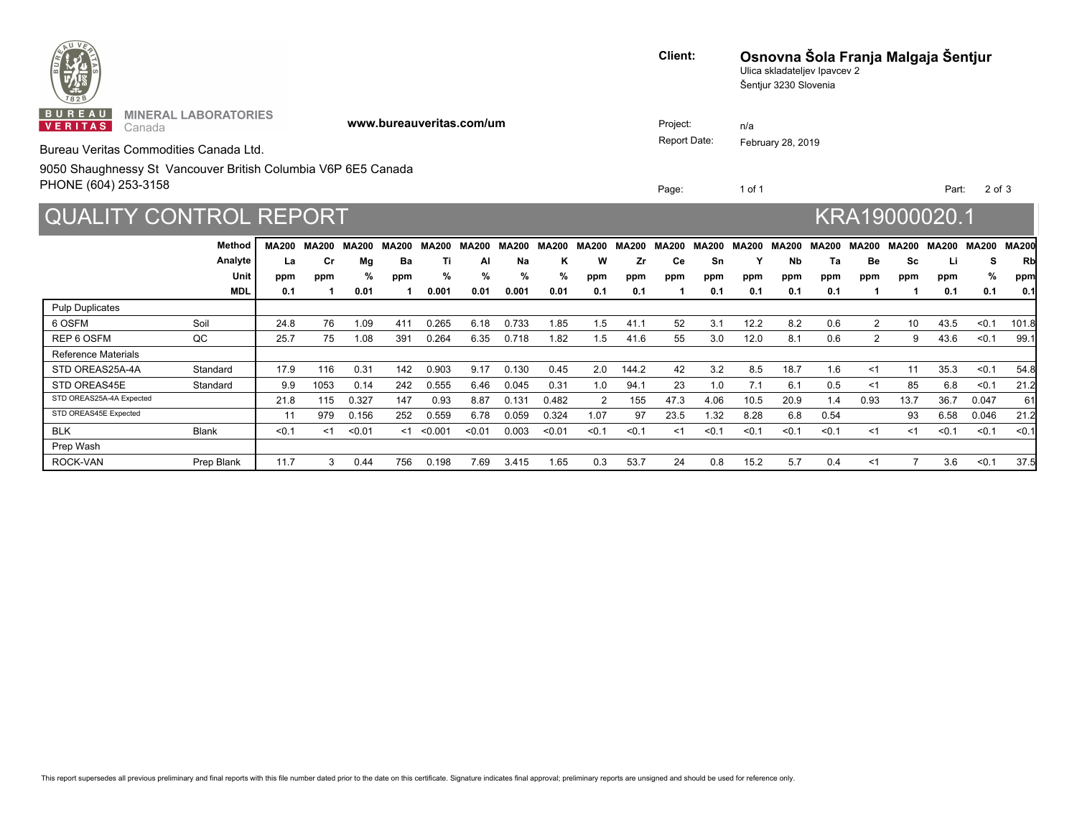| <b>PRINTED BY AN ASSESSMENT</b>                                                                                                                     | Client:                  | Osnovna Šola Franja Malgaja Šentjur<br>Ulica skladateljev Ipavcev 2<br>Šentjur 3230 Slovenia |                   |  |
|-----------------------------------------------------------------------------------------------------------------------------------------------------|--------------------------|----------------------------------------------------------------------------------------------|-------------------|--|
| BUREAU<br><b>MINERAL LABORATORIES</b><br>www.bureauveritas.com/um<br><b>VERITAS</b> Canada<br>Bureau Veritas Commodities Canada Ltd.                | Project:<br>Report Date: | n/a<br>February 28, 2019                                                                     |                   |  |
| 9050 Shaughnessy St Vancouver British Columbia V6P 6E5 Canada<br>PHONE (604) 253-3158                                                               | Page:                    | 1 of 1                                                                                       | Part: 2 of 3      |  |
| <b>QUALITY CONTROL REPORT</b>                                                                                                                       |                          | KRA19000020.1                                                                                |                   |  |
| Method<br>MA200 MA200 MA200 MA200 MA200 MA200 MA200 MA200 MA200 MA200 MA200 MA200 MA200 MA200 MA200 MA200 MA200 MA200 MA200<br>Analyte<br>Mп<br>Cr. |                          |                                                                                              | Sc<br>-Rh         |  |
| Unit<br>ppm<br>ppm<br>ppm<br>ppm                                                                                                                    | ppm                      | ppm<br>ppm<br>ppm<br>ppm                                                                     | ppm<br>ppm<br>ppm |  |

6 OSFM Soil 24.8 76 1.09 411 0.265 6.18 0.733 1.85 1.5 41.1 52 3.1 12.2 8.2 0.6 2 10 43.5 <0.1 101.8 REP 6 OSFM QC 25.7 75 1.08 391 0.264 6.35 0.718 1.82 1.5 41.6 55 3.0 12.0 8.1 0.6 2 9 43.6 <0.1 99.1

STD OREAS25A-4A Standard 17.9 116 0.31 142 0.903 9.17 0.130 0.45 2.0 144.2 42 3.2 8.5 18.7 1.6 <1 11 35.3 <0.1 54.8 STD OREAS45E Standard 9.9 1053 0.14 242 0.555 6.46 0.045 0.31 1.0 94.1 23 1.0 7.1 6.1 0.5 <1 85 6.8 <0.1 21.2 STD OREAS25A-4A Expected 21.8 115 0.327 147 0.93 8.87 0.131 0.482 2 155 47.3 4.06 10.5 20.9 1.4 0.93 13.7 36.7 0.047 61 STD OREAS45E Expected 11 979 0.156 252 0.559 6.78 0.059 0.324 1.07 97 23.5 1.32 8.28 6.8 0.54 93 6.58 0.046 21.2 BLK Blank <0.1 <1 <0.01 <1 <0.001 <0.01 0.003 <0.01 <0.1 <0.1 <1 <0.1 <0.1 <0.1 <0.1 <1 <1 <0.1 <0.1 <0.1

ROCK-VAN Prep Blank 11.7 3 0.44 756 0.198 7.69 3.415 1.65 0.3 53.7 24 0.8 15.2 5.7 0.4 <1 7 3.6 <0.1 37.5

**0.1 1 0.01 1 0.001 0.01 0.001 0.01 0.1 0.1 1 0.1 0.1 0.1 0.1 1 1 0.1 0.1 0.1**

Pulp Duplicates

Prep Wash

Reference Materials

**MDL**